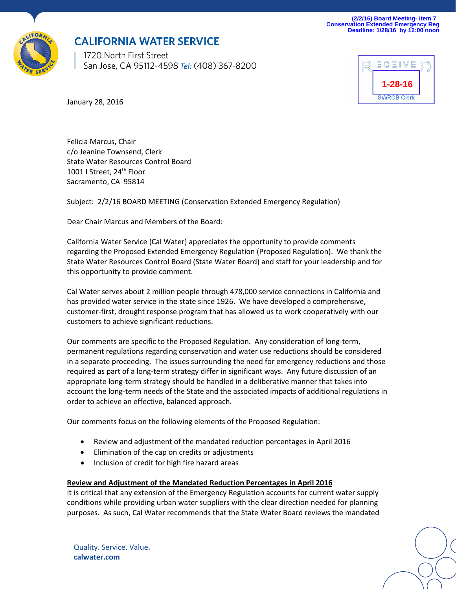**(2/2/16) Board Meeting- Item 7 Conservation Extended Emergency Reg Deadline: 1/28/16 by 12:00 noon**



## **CALIFORNIA WATER SERVICE**

1720 North First Street San Jose, CA 95112-4598 Tel: (408) 367-8200



January 28, 2016

Felicia Marcus, Chair c/o Jeanine Townsend, Clerk State Water Resources Control Board 1001 I Street, 24<sup>th</sup> Floor Sacramento, CA 95814

Subject: 2/2/16 BOARD MEETING (Conservation Extended Emergency Regulation)

Dear Chair Marcus and Members of the Board:

California Water Service (Cal Water) appreciates the opportunity to provide comments regarding the Proposed Extended Emergency Regulation (Proposed Regulation). We thank the State Water Resources Control Board (State Water Board) and staff for your leadership and for this opportunity to provide comment.

Cal Water serves about 2 million people through 478,000 service connections in California and has provided water service in the state since 1926. We have developed a comprehensive, customer-first, drought response program that has allowed us to work cooperatively with our customers to achieve significant reductions.

Our comments are specific to the Proposed Regulation. Any consideration of long-term, permanent regulations regarding conservation and water use reductions should be considered in a separate proceeding. The issues surrounding the need for emergency reductions and those required as part of a long-term strategy differ in significant ways. Any future discussion of an appropriate long-term strategy should be handled in a deliberative manner that takes into account the long-term needs of the State and the associated impacts of additional regulations in order to achieve an effective, balanced approach.

Our comments focus on the following elements of the Proposed Regulation:

- Review and adjustment of the mandated reduction percentages in April 2016
- Elimination of the cap on credits or adjustments
- Inclusion of credit for high fire hazard areas

### **Review and Adjustment of the Mandated Reduction Percentages in April 2016**

It is critical that any extension of the Emergency Regulation accounts for current water supply conditions while providing urban water suppliers with the clear direction needed for planning purposes. As such, Cal Water recommends that the State Water Board reviews the mandated

Quality. Service. Value. **calwater.com**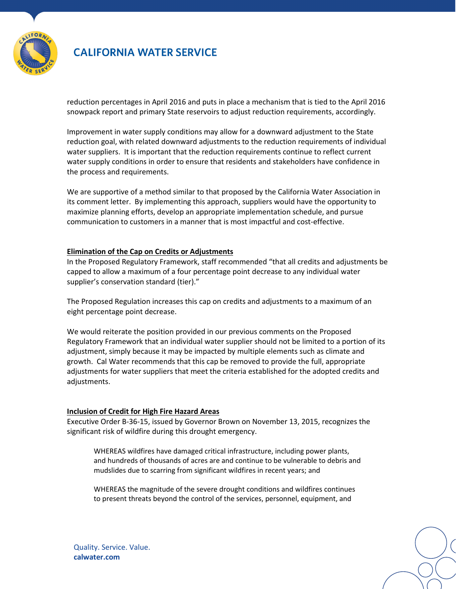

# **CALIFORNIA WATER SERVICE**

reduction percentages in April 2016 and puts in place a mechanism that is tied to the April 2016 snowpack report and primary State reservoirs to adjust reduction requirements, accordingly.

Improvement in water supply conditions may allow for a downward adjustment to the State reduction goal, with related downward adjustments to the reduction requirements of individual water suppliers. It is important that the reduction requirements continue to reflect current water supply conditions in order to ensure that residents and stakeholders have confidence in the process and requirements.

We are supportive of a method similar to that proposed by the California Water Association in its comment letter. By implementing this approach, suppliers would have the opportunity to maximize planning efforts, develop an appropriate implementation schedule, and pursue communication to customers in a manner that is most impactful and cost-effective.

### **Elimination of the Cap on Credits or Adjustments**

In the Proposed Regulatory Framework, staff recommended "that all credits and adjustments be capped to allow a maximum of a four percentage point decrease to any individual water supplier's conservation standard (tier)."

The Proposed Regulation increases this cap on credits and adjustments to a maximum of an eight percentage point decrease.

We would reiterate the position provided in our previous comments on the Proposed Regulatory Framework that an individual water supplier should not be limited to a portion of its adjustment, simply because it may be impacted by multiple elements such as climate and growth. Cal Water recommends that this cap be removed to provide the full, appropriate adjustments for water suppliers that meet the criteria established for the adopted credits and adjustments.

### **Inclusion of Credit for High Fire Hazard Areas**

Executive Order B-36-15, issued by Governor Brown on November 13, 2015, recognizes the significant risk of wildfire during this drought emergency.

WHEREAS wildfires have damaged critical infrastructure, including power plants, and hundreds of thousands of acres are and continue to be vulnerable to debris and mudslides due to scarring from significant wildfires in recent years; and

WHEREAS the magnitude of the severe drought conditions and wildfires continues to present threats beyond the control of the services, personnel, equipment, and